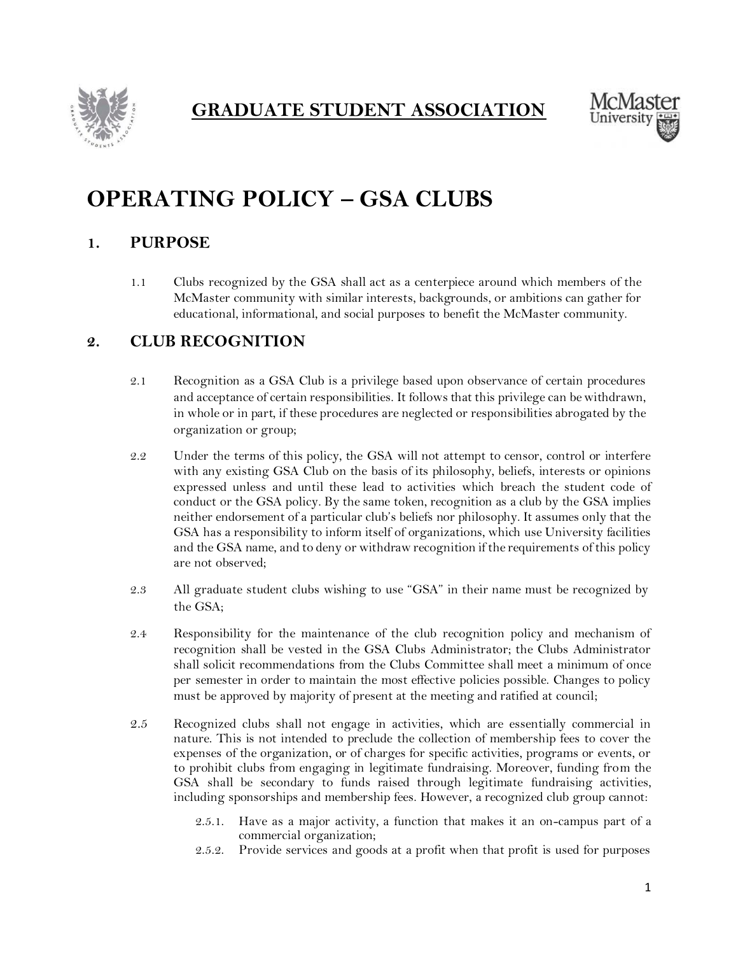

**GRADUATE STUDENT ASSOCIATION**



# **OPERATING POLICY – GSA CLUBS**

### **1. PURPOSE**

1.1 Clubs recognized by the GSA shall act as a centerpiece around which members of the McMaster community with similar interests, backgrounds, or ambitions can gather for educational, informational, and social purposes to benefit the McMaster community.

### **2. CLUB RECOGNITION**

- 2.1 Recognition as a GSA Club is a privilege based upon observance of certain procedures and acceptance of certain responsibilities. It follows that this privilege can be withdrawn, in whole or in part, if these procedures are neglected or responsibilities abrogated by the organization or group;
- 2.2 Under the terms of this policy, the GSA will not attempt to censor, control or interfere with any existing GSA Club on the basis of its philosophy, beliefs, interests or opinions expressed unless and until these lead to activities which breach the student code of conduct or the GSA policy. By the same token, recognition as a club by the GSA implies neither endorsement of a particular club's beliefs nor philosophy. It assumes only that the GSA has a responsibility to inform itself of organizations, which use University facilities and the GSA name, and to deny or withdraw recognition if the requirements of this policy are not observed;
- 2.3 All graduate student clubs wishing to use "GSA" in their name must be recognized by the GSA;
- 2.4 Responsibility for the maintenance of the club recognition policy and mechanism of recognition shall be vested in the GSA Clubs Administrator; the Clubs Administrator shall solicit recommendations from the Clubs Committee shall meet a minimum of once per semester in order to maintain the most effective policies possible. Changes to policy must be approved by majority of present at the meeting and ratified at council;
- 2.5 Recognized clubs shall not engage in activities, which are essentially commercial in nature. This is not intended to preclude the collection of membership fees to cover the expenses of the organization, or of charges for specific activities, programs or events, or to prohibit clubs from engaging in legitimate fundraising. Moreover, funding from the GSA shall be secondary to funds raised through legitimate fundraising activities, including sponsorships and membership fees. However, a recognized club group cannot:
	- 2.5.1. Have as a major activity, a function that makes it an on-campus part of a commercial organization;
	- 2.5.2. Provide services and goods at a profit when that profit is used for purposes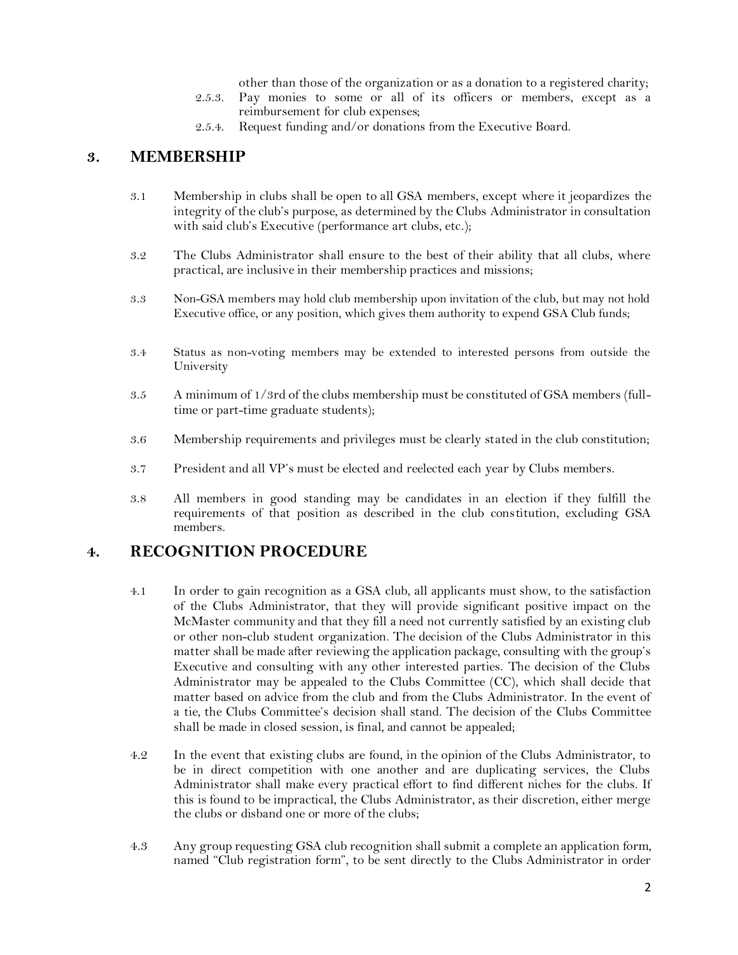other than those of the organization or as a donation to a registered charity;

- 2.5.3. Pay monies to some or all of its officers or members, except as a reimbursement for club expenses;
- 2.5.4. Request funding and/or donations from the Executive Board.

### **3. MEMBERSHIP**

- 3.1 Membership in clubs shall be open to all GSA members, except where it jeopardizes the integrity of the club's purpose, as determined by the Clubs Administrator in consultation with said club's Executive (performance art clubs, etc.);
- 3.2 The Clubs Administrator shall ensure to the best of their ability that all clubs, where practical, are inclusive in their membership practices and missions;
- 3.3 Non-GSA members may hold club membership upon invitation of the club, but may not hold Executive office, or any position, which gives them authority to expend GSA Club funds;
- 3.4 Status as non-voting members may be extended to interested persons from outside the University
- 3.5 A minimum of 1/3rd of the clubs membership must be constituted of GSA members (fulltime or part-time graduate students);
- 3.6 Membership requirements and privileges must be clearly stated in the club constitution;
- 3.7 President and all VP's must be elected and reelected each year by Clubs members.
- 3.8 All members in good standing may be candidates in an election if they fulfill the requirements of that position as described in the club constitution, excluding GSA members.

# **4. RECOGNITION PROCEDURE**

- 4.1 In order to gain recognition as a GSA club, all applicants must show, to the satisfaction of the Clubs Administrator, that they will provide significant positive impact on the McMaster community and that they fill a need not currently satisfied by an existing club or other non-club student organization. The decision of the Clubs Administrator in this matter shall be made after reviewing the application package, consulting with the group's Executive and consulting with any other interested parties. The decision of the Clubs Administrator may be appealed to the Clubs Committee (CC), which shall decide that matter based on advice from the club and from the Clubs Administrator. In the event of a tie, the Clubs Committee's decision shall stand. The decision of the Clubs Committee shall be made in closed session, is final, and cannot be appealed;
- 4.2 In the event that existing clubs are found, in the opinion of the Clubs Administrator, to be in direct competition with one another and are duplicating services, the Clubs Administrator shall make every practical effort to find different niches for the clubs. If this is found to be impractical, the Clubs Administrator, as their discretion, either merge the clubs or disband one or more of the clubs;
- 4.3 Any group requesting GSA club recognition shall submit a complete an application form, named "Club registration form", to be sent directly to the Clubs Administrator in order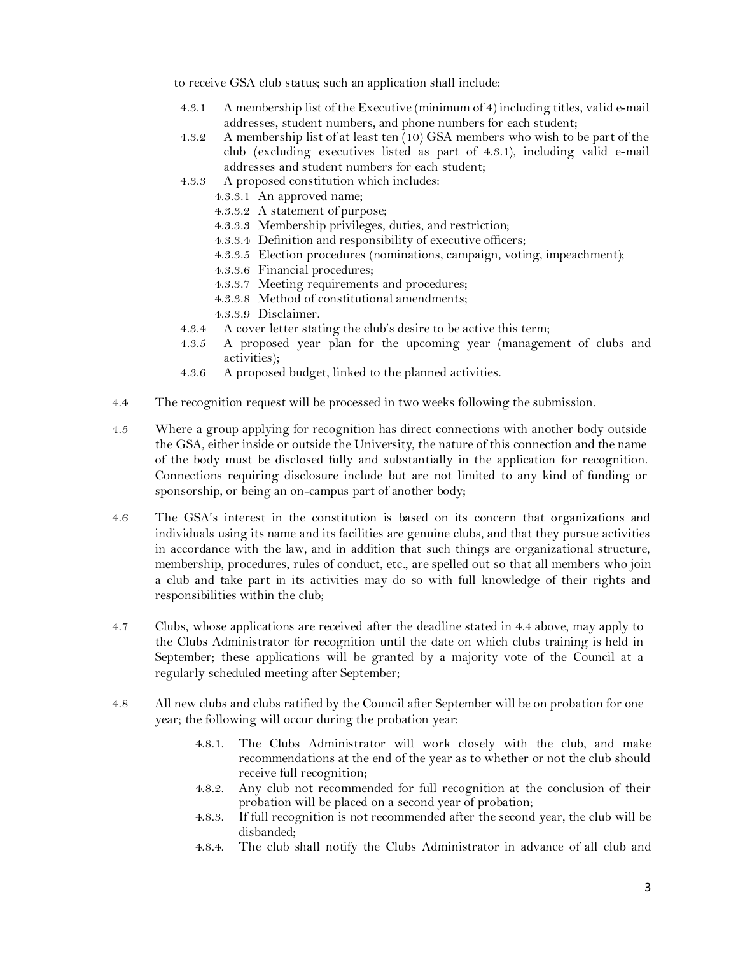to receive GSA club status; such an application shall include:

- 4.3.1 A membership list of the Executive (minimum of 4) including titles, valid e-mail addresses, student numbers, and phone numbers for each student;
- 4.3.2 A membership list of at least ten (10) GSA members who wish to be part of the club (excluding executives listed as part of 4.3.1), including valid e-mail addresses and student numbers for each student;
- 4.3.3 A proposed constitution which includes:
	- 4.3.3.1 An approved name;
	- 4.3.3.2 A statement of purpose;
	- 4.3.3.3 Membership privileges, duties, and restriction;
	- 4.3.3.4 Definition and responsibility of executive officers;
	- 4.3.3.5 Election procedures (nominations, campaign, voting, impeachment);
	- 4.3.3.6 Financial procedures;
	- 4.3.3.7 Meeting requirements and procedures;
	- 4.3.3.8 Method of constitutional amendments;
	- 4.3.3.9 Disclaimer.
- 4.3.4 A cover letter stating the club's desire to be active this term;
- 4.3.5 A proposed year plan for the upcoming year (management of clubs and activities);
- 4.3.6 A proposed budget, linked to the planned activities.
- 4.4 The recognition request will be processed in two weeks following the submission.
- 4.5 Where a group applying for recognition has direct connections with another body outside the GSA, either inside or outside the University, the nature of this connection and the name of the body must be disclosed fully and substantially in the application for recognition. Connections requiring disclosure include but are not limited to any kind of funding or sponsorship, or being an on-campus part of another body;
- 4.6 The GSA's interest in the constitution is based on its concern that organizations and individuals using its name and its facilities are genuine clubs, and that they pursue activities in accordance with the law, and in addition that such things are organizational structure, membership, procedures, rules of conduct, etc., are spelled out so that all members who join a club and take part in its activities may do so with full knowledge of their rights and responsibilities within the club;
- 4.7 Clubs, whose applications are received after the deadline stated in 4.4 above, may apply to the Clubs Administrator for recognition until the date on which clubs training is held in September; these applications will be granted by a majority vote of the Council at a regularly scheduled meeting after September;
- 4.8 All new clubs and clubs ratified by the Council after September will be on probation for one year; the following will occur during the probation year:
	- 4.8.1. The Clubs Administrator will work closely with the club, and make recommendations at the end of the year as to whether or not the club should receive full recognition;
	- 4.8.2. Any club not recommended for full recognition at the conclusion of their probation will be placed on a second year of probation;
	- 4.8.3. If full recognition is not recommended after the second year, the club will be disbanded;
	- 4.8.4. The club shall notify the Clubs Administrator in advance of all club and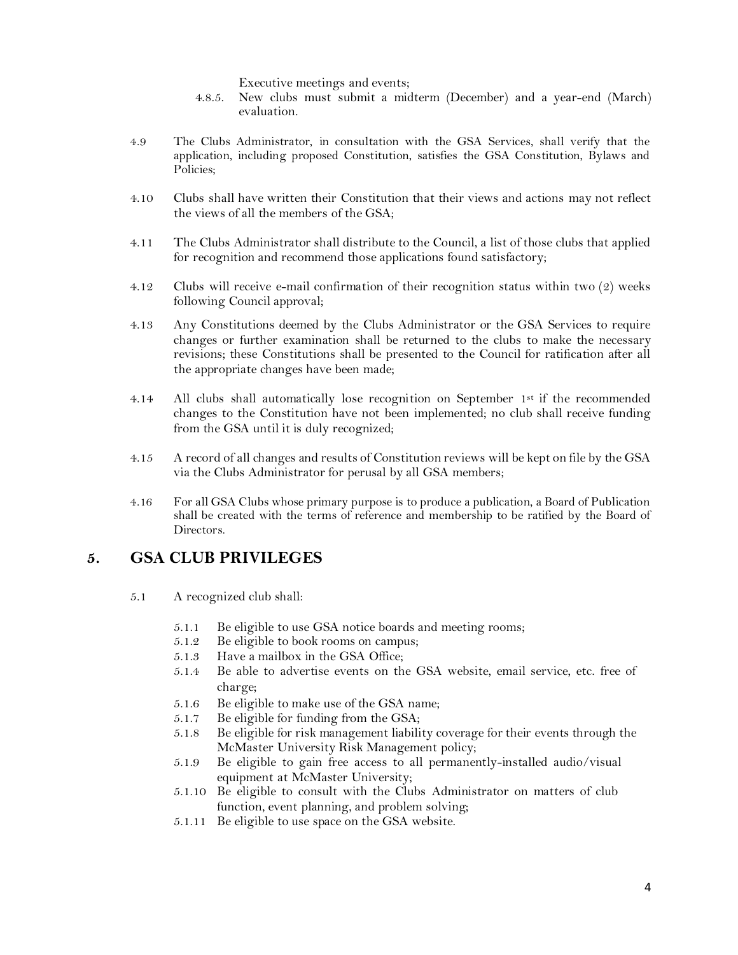Executive meetings and events;

- 4.8.5. New clubs must submit a midterm (December) and a year-end (March) evaluation.
- 4.9 The Clubs Administrator, in consultation with the GSA Services, shall verify that the application, including proposed Constitution, satisfies the GSA Constitution, Bylaws and Policies;
- 4.10 Clubs shall have written their Constitution that their views and actions may not reflect the views of all the members of the GSA;
- 4.11 The Clubs Administrator shall distribute to the Council, a list of those clubs that applied for recognition and recommend those applications found satisfactory;
- 4.12 Clubs will receive e-mail confirmation of their recognition status within two (2) weeks following Council approval;
- 4.13 Any Constitutions deemed by the Clubs Administrator or the GSA Services to require changes or further examination shall be returned to the clubs to make the necessary revisions; these Constitutions shall be presented to the Council for ratification after all the appropriate changes have been made;
- 4.14 All clubs shall automatically lose recognition on September 1st if the recommended changes to the Constitution have not been implemented; no club shall receive funding from the GSA until it is duly recognized;
- 4.15 A record of all changes and results of Constitution reviews will be kept on file by the GSA via the Clubs Administrator for perusal by all GSA members;
- 4.16 For all GSA Clubs whose primary purpose is to produce a publication, a Board of Publication shall be created with the terms of reference and membership to be ratified by the Board of Directors.

#### **5. GSA CLUB PRIVILEGES**

- 5.1 A recognized club shall:
	- 5.1.1 Be eligible to use GSA notice boards and meeting rooms;
	- 5.1.2 Be eligible to book rooms on campus;
	- 5.1.3 Have a mailbox in the GSA Office;
	- 5.1.4 Be able to advertise events on the GSA website, email service, etc. free of charge;
	- 5.1.6 Be eligible to make use of the GSA name;
	- 5.1.7 Be eligible for funding from the GSA;
	- 5.1.8 Be eligible for risk management liability coverage for their events through the McMaster University Risk Management policy;
	- 5.1.9 Be eligible to gain free access to all permanently-installed audio/visual equipment at McMaster University;
	- 5.1.10 Be eligible to consult with the Clubs Administrator on matters of club function, event planning, and problem solving;
	- 5.1.11 Be eligible to use space on the GSA website.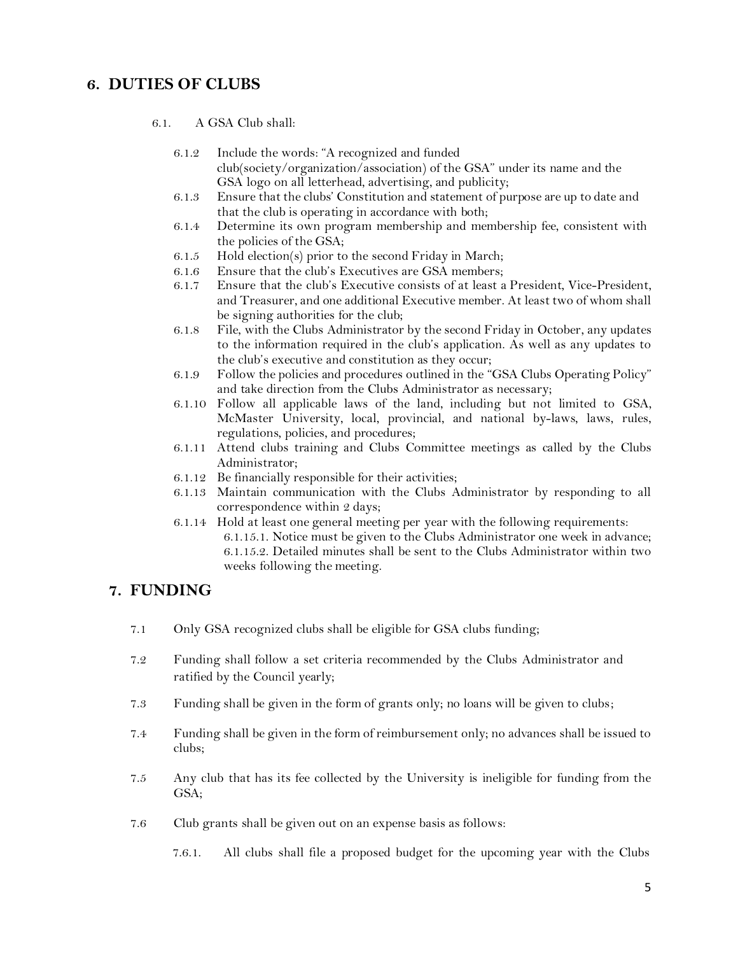### **6. DUTIES OF CLUBS**

- 6.1. A GSA Club shall:
	- 6.1.2 Include the words: "A recognized and funded club(society/organization/association) of the GSA" under its name and the GSA logo on all letterhead, advertising, and publicity;
	- 6.1.3 Ensure that the clubs' Constitution and statement of purpose are up to date and that the club is operating in accordance with both;
	- 6.1.4 Determine its own program membership and membership fee, consistent with the policies of the GSA;
	- 6.1.5 Hold election(s) prior to the second Friday in March;
	- 6.1.6 Ensure that the club's Executives are GSA members;
	- 6.1.7 Ensure that the club's Executive consists of at least a President, Vice-President, and Treasurer, and one additional Executive member. At least two of whom shall be signing authorities for the club;
	- 6.1.8 File, with the Clubs Administrator by the second Friday in October, any updates to the information required in the club's application. As well as any updates to the club's executive and constitution as they occur;
	- 6.1.9 Follow the policies and procedures outlined in the "GSA Clubs Operating Policy" and take direction from the Clubs Administrator as necessary;
	- 6.1.10 Follow all applicable laws of the land, including but not limited to GSA, McMaster University, local, provincial, and national by-laws, laws, rules, regulations, policies, and procedures;
	- 6.1.11 Attend clubs training and Clubs Committee meetings as called by the Clubs Administrator;
	- 6.1.12 Be financially responsible for their activities;
	- 6.1.13 Maintain communication with the Clubs Administrator by responding to all correspondence within 2 days;
	- 6.1.14 Hold at least one general meeting per year with the following requirements: 6.1.15.1. Notice must be given to the Clubs Administrator one week in advance; 6.1.15.2. Detailed minutes shall be sent to the Clubs Administrator within two weeks following the meeting.

#### **7. FUNDING**

- 7.1 Only GSA recognized clubs shall be eligible for GSA clubs funding;
- 7.2 Funding shall follow a set criteria recommended by the Clubs Administrator and ratified by the Council yearly;
- 7.3 Funding shall be given in the form of grants only; no loans will be given to clubs;
- 7.4 Funding shall be given in the form of reimbursement only; no advances shall be issued to clubs;
- 7.5 Any club that has its fee collected by the University is ineligible for funding from the GSA;
- 7.6 Club grants shall be given out on an expense basis as follows:
	- 7.6.1. All clubs shall file a proposed budget for the upcoming year with the Clubs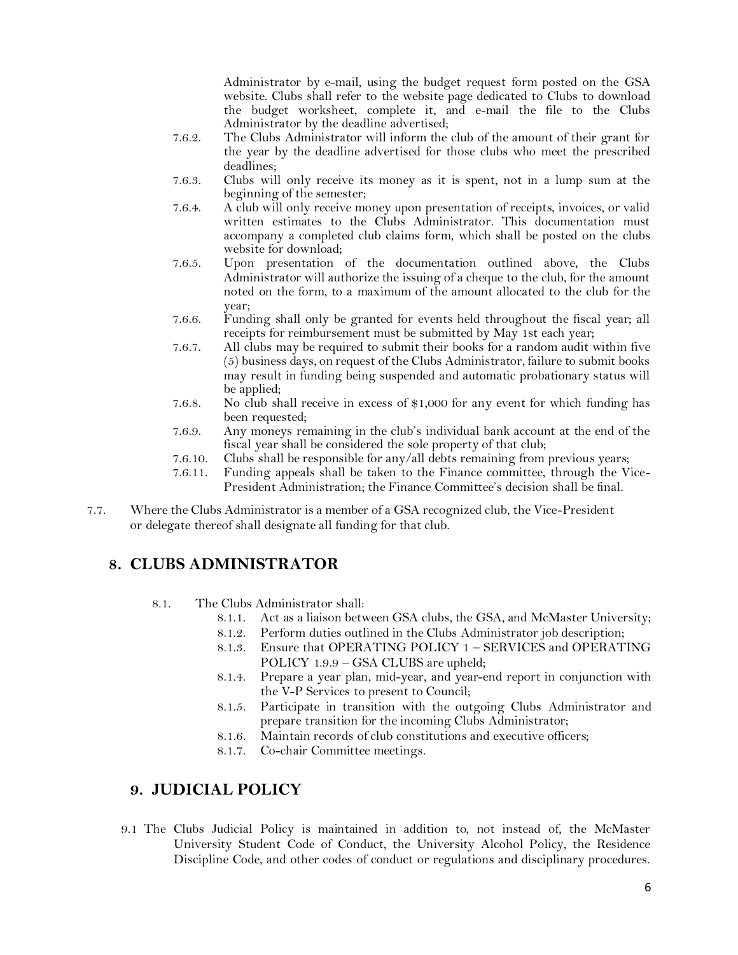Administrator by e-mail, using the budget request form posted on the GSA website. Clubs shall refer to the website page dedicated to Clubs to download the budget worksheet, complete it, and e-mail the file to the Clubs Administrator by the deadline advertised;

- 7.6.2. The Clubs Administrator will inform the club of the amount of their grant for the year by the deadline advertised for those clubs who meet the prescribed deadlines;
- 7.6.3. Clubs will only receive its money as it is spent, not in a lump sum at the beginning of the semester;
- 7.6.4. A club will only receive money upon presentation of receipts, invoices, or valid written estimates to the Clubs Administrator. This documentation must accompany a completed club claims form, which shall be posted on the clubs website for download;
- 7.6.5. Upon presentation of the documentation outlined above, the Clubs Administrator will authorize the issuing of a cheque to the club, for the amount noted on the form, to a maximum of the amount allocated to the club for the year;
- 7.6.6. Funding shall only be granted for events held throughout the fiscal year; all receipts for reimbursement must be submitted by May 1st each year;
- 7.6.7. All clubs may be required to submit their books for a random audit within five (5) business days, on request of the Clubs Administrator, failure to submit books may result in funding being suspended and automatic probationary status will be applied;
- 7.6.8. No club shall receive in excess of \$1,000 for any event for which funding has been requested;
- 7.6.9. Any moneys remaining in the club's individual bank account at the end of the fiscal year shall be considered the sole property of that club;
- 7.6.10. Clubs shall be responsible for any/all debts remaining from previous years;
- 7.6.11. Funding appeals shall be taken to the Finance committee, through the Vice-President Administration; the Finance Committee's decision shall be final.
- 7.7. Where the Clubs Administrator is a member of a GSA recognized club, the Vice-President or delegate thereof shall designate all funding for that club.

# **8. CLUBS ADMINISTRATOR**

- 8.1. The Clubs Administrator shall:
	- 8.1.1. Act as a liaison between GSA clubs, the GSA, and McMaster University;
	- 8.1.2. Perform duties outlined in the Clubs Administrator job description;
	- 8.1.3. Ensure that OPERATING POLICY 1 SERVICES and OPERATING POLICY 1.9.9 – GSA CLUBS are upheld;
	- 8.1.4. Prepare a year plan, mid-year, and year-end report in conjunction with the V-P Services to present to Council;
	- 8.1.5. Participate in transition with the outgoing Clubs Administrator and prepare transition for the incoming Clubs Administrator;
	- 8.1.6. Maintain records of club constitutions and executive officers;
	- 8.1.7. Co-chair Committee meetings.

#### **9. JUDICIAL POLICY**

9.1 The Clubs Judicial Policy is maintained in addition to, not instead of, the McMaster University Student Code of Conduct, the University Alcohol Policy, the Residence Discipline Code, and other codes of conduct or regulations and disciplinary procedures.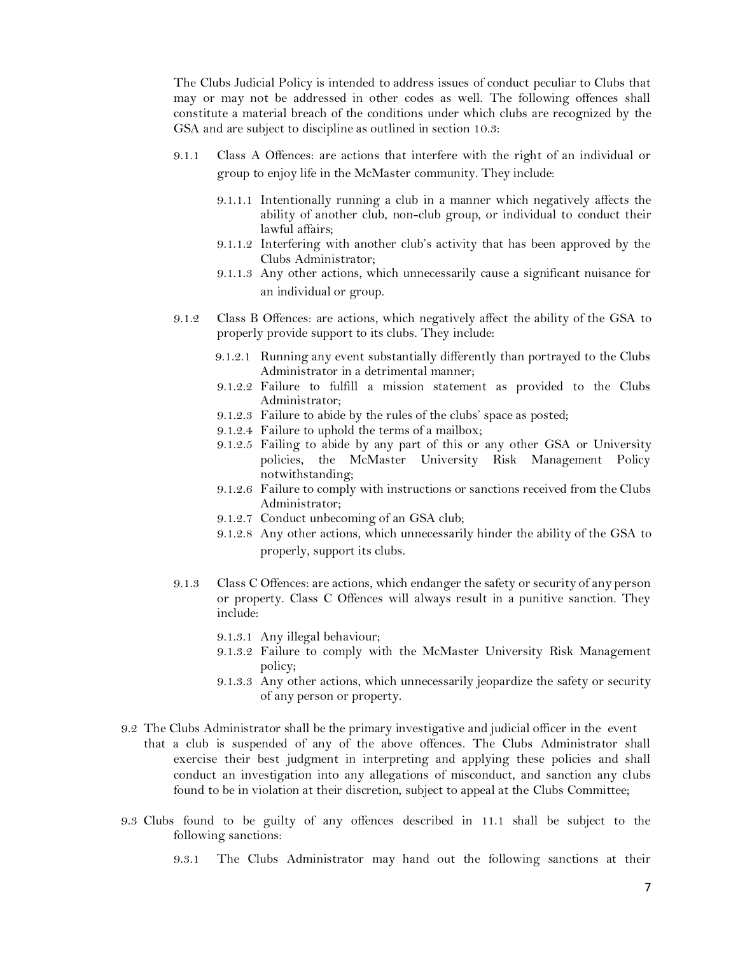The Clubs Judicial Policy is intended to address issues of conduct peculiar to Clubs that may or may not be addressed in other codes as well. The following offences shall constitute a material breach of the conditions under which clubs are recognized by the GSA and are subject to discipline as outlined in section 10.3:

- 9.1.1 Class A Offences: are actions that interfere with the right of an individual or group to enjoy life in the McMaster community. They include:
	- 9.1.1.1 Intentionally running a club in a manner which negatively affects the ability of another club, non-club group, or individual to conduct their lawful affairs;
	- 9.1.1.2 Interfering with another club's activity that has been approved by the Clubs Administrator;
	- 9.1.1.3 Any other actions, which unnecessarily cause a significant nuisance for an individual or group.
- 9.1.2 Class B Offences: are actions, which negatively affect the ability of the GSA to properly provide support to its clubs. They include:
	- 9.1.2.1 Running any event substantially differently than portrayed to the Clubs Administrator in a detrimental manner;
	- 9.1.2.2 Failure to fulfill a mission statement as provided to the Clubs Administrator;
	- 9.1.2.3 Failure to abide by the rules of the clubs' space as posted;
	- 9.1.2.4 Failure to uphold the terms of a mailbox;
	- 9.1.2.5 Failing to abide by any part of this or any other GSA or University policies, the McMaster University Risk Management Policy notwithstanding;
	- 9.1.2.6 Failure to comply with instructions or sanctions received from the Clubs Administrator;
	- 9.1.2.7 Conduct unbecoming of an GSA club;
	- 9.1.2.8 Any other actions, which unnecessarily hinder the ability of the GSA to properly, support its clubs.
- 9.1.3 Class C Offences: are actions, which endanger the safety or security of any person or property. Class C Offences will always result in a punitive sanction. They include:
	- 9.1.3.1 Any illegal behaviour;
	- 9.1.3.2 Failure to comply with the McMaster University Risk Management policy;
	- 9.1.3.3 Any other actions, which unnecessarily jeopardize the safety or security of any person or property.
- 9.2 The Clubs Administrator shall be the primary investigative and judicial officer in the event that a club is suspended of any of the above offences. The Clubs Administrator shall exercise their best judgment in interpreting and applying these policies and shall conduct an investigation into any allegations of misconduct, and sanction any clubs found to be in violation at their discretion, subject to appeal at the Clubs Committee;
- 9.3 Clubs found to be guilty of any offences described in 11.1 shall be subject to the following sanctions:
	- 9.3.1 The Clubs Administrator may hand out the following sanctions at their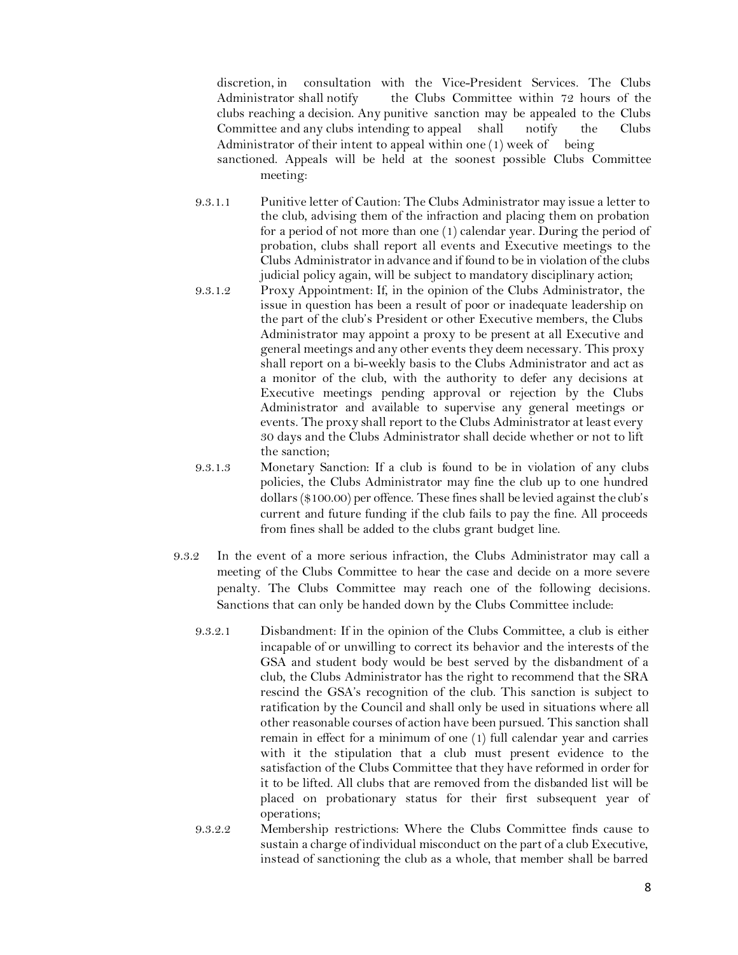discretion, in consultation with the Vice-President Services. The Clubs Administrator shall notify the Clubs Committee within 72 hours of the clubs reaching a decision. Any punitive sanction may be appealed to the Clubs Committee and any clubs intending to appeal shall notify the Clubs Administrator of their intent to appeal within one  $(1)$  week of being

sanctioned. Appeals will be held at the soonest possible Clubs Committee meeting:

- 9.3.1.1 Punitive letter of Caution: The Clubs Administrator may issue a letter to the club, advising them of the infraction and placing them on probation for a period of not more than one (1) calendar year. During the period of probation, clubs shall report all events and Executive meetings to the Clubs Administrator in advance and if found to be in violation of the clubs judicial policy again, will be subject to mandatory disciplinary action;
- 9.3.1.2 Proxy Appointment: If, in the opinion of the Clubs Administrator, the issue in question has been a result of poor or inadequate leadership on the part of the club's President or other Executive members, the Clubs Administrator may appoint a proxy to be present at all Executive and general meetings and any other events they deem necessary. This proxy shall report on a bi-weekly basis to the Clubs Administrator and act as a monitor of the club, with the authority to defer any decisions at Executive meetings pending approval or rejection by the Clubs Administrator and available to supervise any general meetings or events. The proxy shall report to the Clubs Administrator at least every 30 days and the Clubs Administrator shall decide whether or not to lift the sanction;
- 9.3.1.3 Monetary Sanction: If a club is found to be in violation of any clubs policies, the Clubs Administrator may fine the club up to one hundred dollars (\$100.00) per offence. These fines shall be levied against the club's current and future funding if the club fails to pay the fine. All proceeds from fines shall be added to the clubs grant budget line.
- 9.3.2 In the event of a more serious infraction, the Clubs Administrator may call a meeting of the Clubs Committee to hear the case and decide on a more severe penalty. The Clubs Committee may reach one of the following decisions. Sanctions that can only be handed down by the Clubs Committee include:
	- 9.3.2.1 Disbandment: If in the opinion of the Clubs Committee, a club is either incapable of or unwilling to correct its behavior and the interests of the GSA and student body would be best served by the disbandment of a club, the Clubs Administrator has the right to recommend that the SRA rescind the GSA's recognition of the club. This sanction is subject to ratification by the Council and shall only be used in situations where all other reasonable courses of action have been pursued. This sanction shall remain in effect for a minimum of one (1) full calendar year and carries with it the stipulation that a club must present evidence to the satisfaction of the Clubs Committee that they have reformed in order for it to be lifted. All clubs that are removed from the disbanded list will be placed on probationary status for their first subsequent year of operations;
	- 9.3.2.2 Membership restrictions: Where the Clubs Committee finds cause to sustain a charge of individual misconduct on the part of a club Executive, instead of sanctioning the club as a whole, that member shall be barred